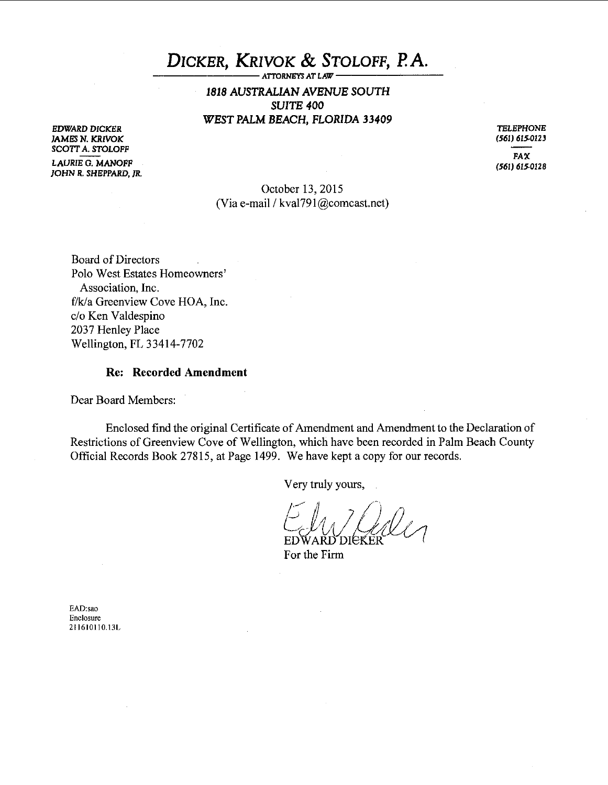# DICKER, KRIVOK & STOLOFF, P.A.

*1818* AUSTRALIAN *AVENUE* SOUTH SUITE *400 WEST* PALM BEACH, FLORIDA *33409* 

EDWARD DICKER JAMES N. KRIVOK SCOTT A. STOLOFF

LAURIE G. MANOFF JOHN R. SHEPPARD, JR.

TELEPHONE (561) 615·0123

FAX (561) 615.0128

October 13, 2015 (Via e-mail / kval791@comcast.net)

Board of Directors Polo West Estates Homeowners' Association, Inc. f/k/a Greenview Cove HOA, Inc. c/o Ken Valdespino 2037 Henley Place Wellington, FL 3 3414-7702

#### Re: Recorded Amendment

Dear Board Members:

Enclosed find the original Certificate of Amendment and Amendment to the Declaration of Restrictions of Greenview Cove of Wellington, which have been recorded in Palm Beach County Official Records Book 27815, at Page 1499. We have kept a copy for our records.

Very truly yours,

EDWARD DIEF

For the Firm

EAD:sao Enclosure 211610110.13L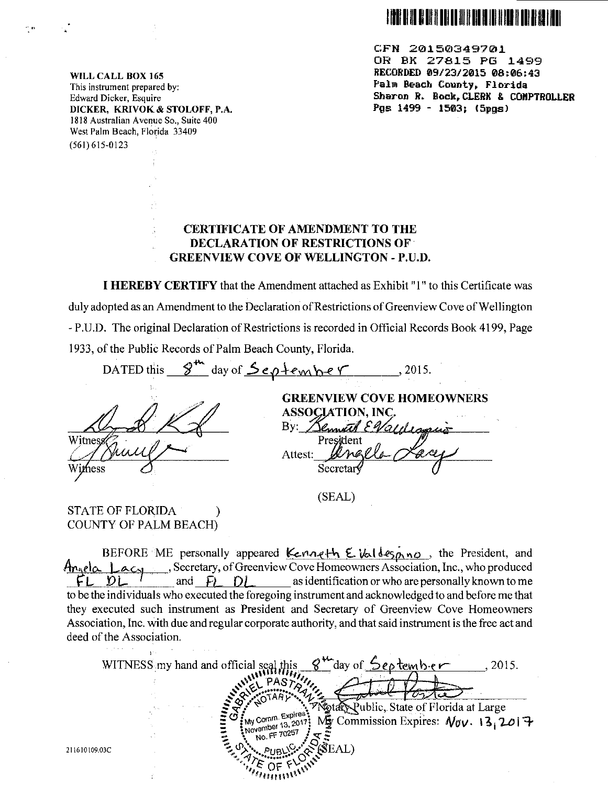

CFN 20150349701 OR BK 27815 PG 1499 RECORDED 09/23/2015 08:06:43 Palm Beach County, Florida Sharon R. Bock, CLERK & COMPTROLLER Pgs  $1499 - 1503$ ;  $(5pgs)$ 

WILL CALL BOX 165 This instrument prepared by: Edward Dicker, Esquire DICKER, KRIVOK & STOLOFF, P.A. 1818 Australian Avenue So., Suite 400 West Palm Beach, Florida 33409 (561) 615-0123

 $\sim$ 

### CERTIFICATE OF AMENDMENT TO THE DECLARATION OF RESTRICTIONS OF· GREENVIEW COVE OF WELLINGTON - P.U.D.

I HEREBY CERTIFY that the Amendment attached as Exhibit "l" to this Certificate was duly adopted as an Amendment to the Declaration of Restrictions of Greenview Cove of Wellington - P.U.D. The original Declaration of Restrictions is recorded in Official Records Book 4199, Page 1933, of the Public Records of Palm Beach County, Florida.

DATED this  $\frac{\partial^{m}}{\partial x^{m}}$  day of  $\frac{\partial e_{\rho}+e_{m}}{\partial y^{m}}$  *e*  $\gamma$ , 2015. GREENVIEW COVE HOMEOWNERS **ASSOCIATION, INC.** By: Bennett EVall Witnes Attest: Secretar

(SEAL)

STATE OF FLORIDA ) COUNTY OF PALM BEACH)

BEFORE ME personally appeared  $\&$  enought  $\&$  valdes  $p, n \circ$ , the President, and  $\frac{A_{n_{\text{A}}\text{el}\alpha} \perp a_{\text{C}}}{\text{el}\square}$ , Secretary, of Greenview Cove Homeowners Association, Inc., who produced and  $\overline{F}$   $\overline{D}$  as identification or who are personally known to me as identification or who are personally known to me to be the individuals who executed the foregoing instrument and acknowledged to and before me that they executed such instrument as President and Secretary of Greenview Cove Homeowners Association, Inc. with due and regular corporate authority, and that said instrument is the free act and deed of the Association.

day of <u>September</u> WITNESS my hand and official seal  $.2015.$ otary Public, State of Florida at Large Comm. Expires<sup>\*</sup> My Comm. Expires:  $N_{\text{BV}}$  Commission Expires:  $N_{\text{BV}}$ . 13, 2017 No. FF (ŜEAL) ∩⊧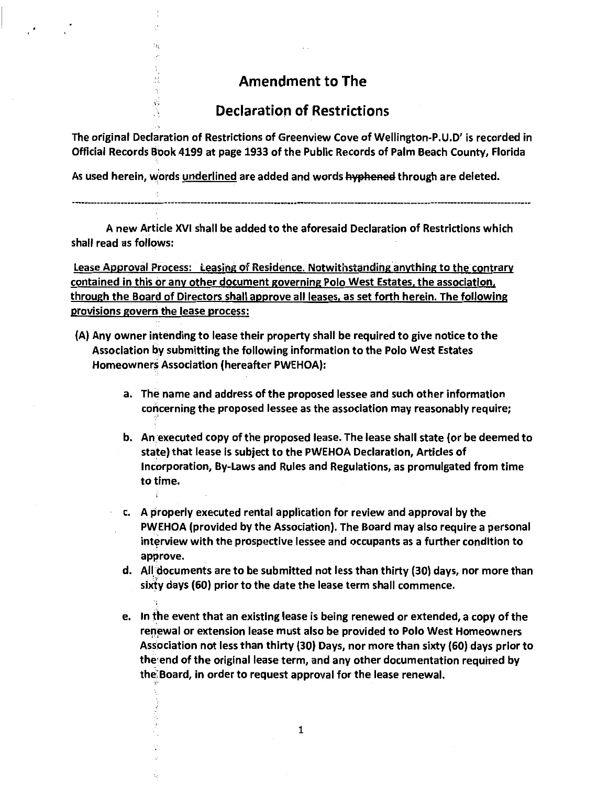# Amendment to The

# Declaration of Restrictions

The original Declaration of Restrictions of Greenview Cove of Wellington-P.U.D' is recorded in Official Records Book 4199 at page 1933 of the Public Records of Palm Beach County, Florida

As used herein, words underlined are added and words hyphened through are deleted.

,.

s,

ys<br>1

Ů.

A new Article XVI shall be added to the aforesaid Declaration of Restrictions which shall read as follows:

Lease Approval Process: Leasing of Residence. Notwithstanding anvthing to the contrary contained in this or any other document governing Polo West Estates. the association. through the Board of Directors shall approve all leases, as set forth herein. The following provisions govern the lease process:

- (A) Any owner intending to lease their property shall be required to give notice to the Association by submitting the following information to the Polo West Estates Homeowners Association (hereafter PWEHOA):
	- a. The name and address of the proposed lessee and such other information concerning the proposed lessee as the association may reasonably require;
	- b. An.executed copy of the proposed lease. The lease shall state (or be deemed to state) that lease is subject to the PWEHOA Declaration, Articles of Incorporation, By-Laws and Rules and Regulations, as promulgated from time to time.
	- c. A properly executed rental application for review and approval by the PWEHOA (provided by the Association). The Board may also require a personal interview with the prospective lessee and occupants as a further condition to approve.
	- d. All documents are to be submitted not less than thirty (30) days, nor more than six'ty days (60) prior to the date the lease term shall commence.
	- e. In the event that an existing lease is being renewed or extended, a copy of the renewal or extension lease must also be provided to Polo West Homeowners Association not less than thirty (30) Days, nor more than sixty (60) days prior to the· end of the original lease term, and any other documentation required by the' Board, in order to request approval for the lease renewal.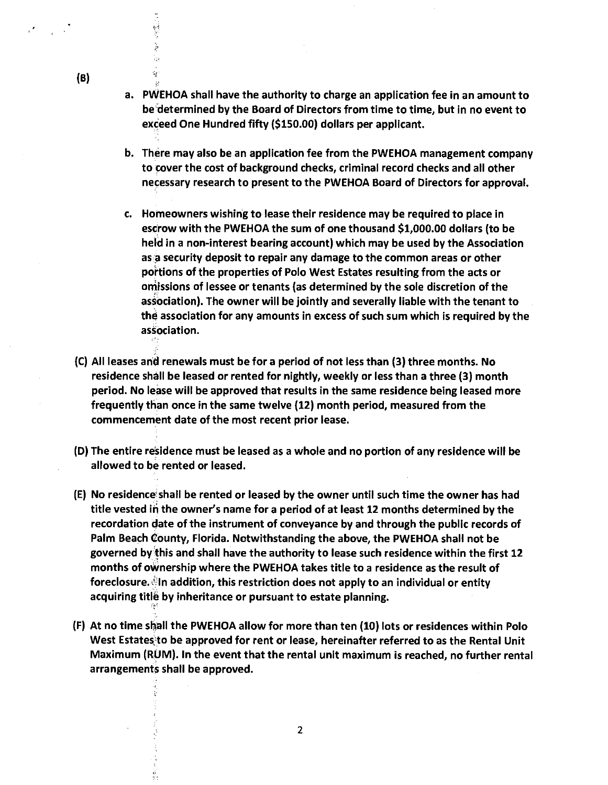- a. PWEHOA shall have the authority to charge an application fee in an amount to be"determined by the Board of Directors from time to time, but in no event to exceed One Hundred fifty (\$150.00) dollars per applicant.
- b. There may also be an application fee from the PWEHOA management company to cover the cost of background checks, criminal record checks and all other necessary research to present to the PWEHOA Board of Directors for approval.
- c. Homeowners wishing to lease their residence may be required to place in escrow with the PWEHOA the sum of one thousand \$1,000.00 dollars (to be held in a non-interest bearing account) which may be used by the Association as a security deposit to repair any damage to the common areas or other portions of the properties of Polo West Estates resulting from the acts or omissions of lessee or tenants (as determined by the sole discretion of the association). The owner will be jointly and severally liable with the tenant to the association for any amounts in excess of such sum which is required by the association.
- (C) All leases and renewals must be for a period of not less than (3) three months. No residence shall be leased or rented for nightly, weekly or less than a three (3) month period. No lease will be approved that results in the same residence being leased more frequently than once in the same twelve (12) month period, measured from the commencement date of the most recent prior lease.
- (D) The entire residence must be leased as a whole and no portion of any residence will be allowed to be rented or leased.
- (E) No residence' shall be rented or leased by the owner until such time the owner has had title vested in the owner's name for a period of at least 12 months determined by the recordation date of the instrument of conveyance by and through the public records of Palm Beach County, Florida. Notwithstanding the above, the PWEHOA shall not be governed by'this and shall have the authority to lease such residence within the first 12 months of ownership where the PWEHOA takes title to a residence as the result of foreclosure); In addition, this restriction does not apply to an individual or entity acquiring title by inheritance or pursuant to estate planning.

 $-1, -1$ 

 $\mathcal{G}$ 

(F) At no time sl;\'all the PWEHOA allow for more than ten (10) lots or residences within Polo West Estates to be approved for rent or lease, hereinafter referred to as the Rental Unit Maximum (RUM). In the event that the rental unit maximum is reached, no further rental arrangements shall be approved.

(B)

ist<br>S

Žу.  $\frac{1}{2}$  :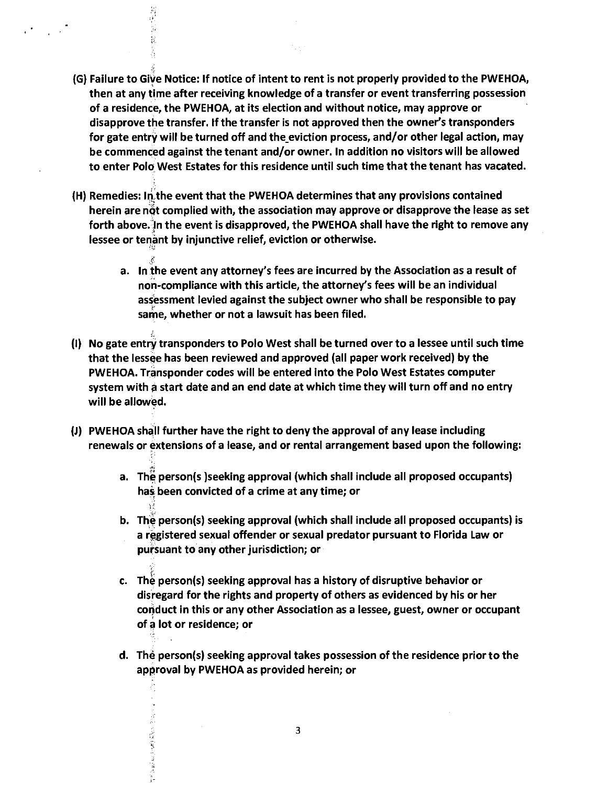(G) Failure to Give Notice: If notice of intent to rent is not properly provided to the PWEHOA, then at any time after receiving knowledge of a transfer or event transferring possession of a residence, the PWEHOA, at its election and without notice, may approve or disapprove the transfer. If the transfer is not approved then the owner's transponders for gate entry will be turned off and the eviction process, and/or other legal action, may be commenced against the tenant and/or owner. In addition no visitors will be allowed to enter Polo West Estates for this residence until such time that the tenant has vacated.

 $1.14$ 

(H) Remedies: In the event that the PWEHOA determines that any provisions contained herein are not complied with, the association may approve or disapprove the lease as set forth above. In the event is disapproved, the PWEHOA shall have the right to remove any lessee or tenant by injunctive relief, eviction or otherwise.

•"i~

γè

 $\hat{\vec{p}}$ 

- a. In the event any attorney's fees are incurred by the Association as a result of non-compliance with this article, the attorney's fees will be an individual assessment levied against the subject owner who shall be responsible to pay same, whether or not a lawsuit has been filed.
- (I) No gate entry transponders to Polo West shall be turned over to a lessee until such time that the lessee has been reviewed and approved (all paper work received) by the PWEHOA. Transponder codes will be entered into the Polo West Estates computer system with a start date and an end date at which time they will turn off and no entry will be allowed.
- (J) PWEHOA shall further have the right to deny the approval of any lease including renewals or extensions of a lease, and or rental arrangement based upon the following:
	- a. The person(s )seeking approval (which shall include all proposed occupants) has been convicted of a crime at any time; or
	- b. The person(s) seeking approval (which shall include all proposed occupants) is a registered sexual offender or sexual predator pursuant to Florida Law or pursuant to any other jurisdiction; or
	- c. The person(s) seeking approval has a history of disruptive behavior or disregard for the rights and property of others as evidenced by his or her corjduct in this or any other Association as a lessee, guest, owner or occupant of a lot or residence; or
	- d. The person(s) seeking approval takes possession of the residence prior to the approval by PWEHOA as provided herein; or